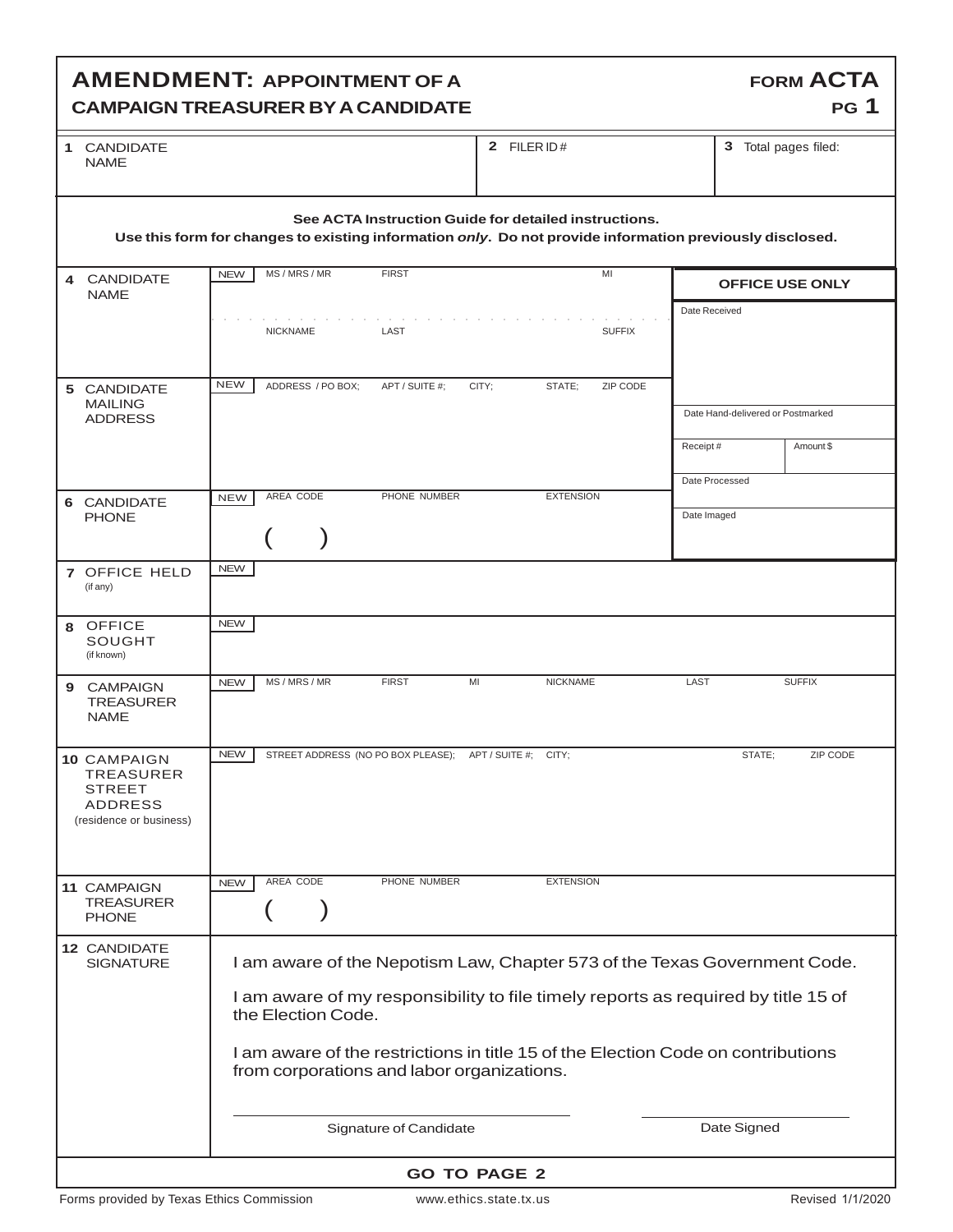## **AMENDMENT: APPOINTMENT OF A CAMPAIGN TREASURER BY A CANDIDATE**

| 1 CANDIDATE | 2 $FILERID#$ | $\sim$<br>w |
|-------------|--------------|-------------|
| <b>NAME</b> |              |             |

3 Total pages filed:

**FORM ACTA**

**PG 1**

| See ACTA Instruction Guide for detailed instructions.<br>Use this form for changes to existing information only. Do not provide information previously disclosed.                                                                                                                                                                                          |            |                 |                   |                                                         |       |                  |               |                                   |                        |
|------------------------------------------------------------------------------------------------------------------------------------------------------------------------------------------------------------------------------------------------------------------------------------------------------------------------------------------------------------|------------|-----------------|-------------------|---------------------------------------------------------|-------|------------------|---------------|-----------------------------------|------------------------|
| 4 CANDIDATE<br><b>NAME</b>                                                                                                                                                                                                                                                                                                                                 | <b>NEW</b> | MS / MRS / MR   |                   | <b>FIRST</b>                                            |       |                  | MI            |                                   | <b>OFFICE USE ONLY</b> |
|                                                                                                                                                                                                                                                                                                                                                            |            | <b>NICKNAME</b> |                   | LAST                                                    |       |                  | <b>SUFFIX</b> | Date Received                     |                        |
| 5 CANDIDATE<br><b>MAILING</b><br><b>ADDRESS</b>                                                                                                                                                                                                                                                                                                            | <b>NEW</b> |                 | ADDRESS / PO BOX; | APT / SUITE #;                                          | CITY: | STATE:           | ZIP CODE      | Date Hand-delivered or Postmarked |                        |
|                                                                                                                                                                                                                                                                                                                                                            |            |                 |                   |                                                         |       |                  |               | Receipt#                          | Amount \$              |
| 6 CANDIDATE<br><b>PHONE</b>                                                                                                                                                                                                                                                                                                                                | <b>NEW</b> | AREA CODE       |                   | PHONE NUMBER                                            |       | <b>EXTENSION</b> |               | Date Processed<br>Date Imaged     |                        |
| 7 OFFICE HELD<br>(if any)                                                                                                                                                                                                                                                                                                                                  | <b>NEW</b> |                 |                   |                                                         |       |                  |               |                                   |                        |
| 8 OFFICE<br>SOUGHT<br>(if known)                                                                                                                                                                                                                                                                                                                           | <b>NEW</b> |                 |                   |                                                         |       |                  |               |                                   |                        |
| 9 CAMPAIGN<br><b>TREASURER</b><br><b>NAME</b>                                                                                                                                                                                                                                                                                                              | <b>NEW</b> | MS / MRS / MR   |                   | <b>FIRST</b>                                            | MI    | <b>NICKNAME</b>  |               | LAST                              | <b>SUFFIX</b>          |
| <b>10 CAMPAIGN</b><br><b>TREASURER</b><br><b>STREET</b><br><b>ADDRESS</b><br>(residence or business)                                                                                                                                                                                                                                                       | <b>NEW</b> |                 |                   | STREET ADDRESS (NO PO BOX PLEASE); APT / SUITE #; CITY; |       |                  |               | STATE:                            | ZIP CODE               |
| 11 CAMPAIGN<br><b>TREASURER</b><br><b>PHONE</b>                                                                                                                                                                                                                                                                                                            | <b>NEW</b> | AREA CODE       |                   | PHONE NUMBER                                            |       | <b>EXTENSION</b> |               |                                   |                        |
| 12 CANDIDATE<br>I am aware of the Nepotism Law, Chapter 573 of the Texas Government Code.<br><b>SIGNATURE</b><br>I am aware of my responsibility to file timely reports as required by title 15 of<br>the Election Code.<br>I am aware of the restrictions in title 15 of the Election Code on contributions<br>from corporations and labor organizations. |            |                 |                   |                                                         |       |                  |               |                                   |                        |
| Signature of Candidate<br>Date Signed                                                                                                                                                                                                                                                                                                                      |            |                 |                   |                                                         |       |                  |               |                                   |                        |
| <b>GO TO PAGE 2</b>                                                                                                                                                                                                                                                                                                                                        |            |                 |                   |                                                         |       |                  |               |                                   |                        |